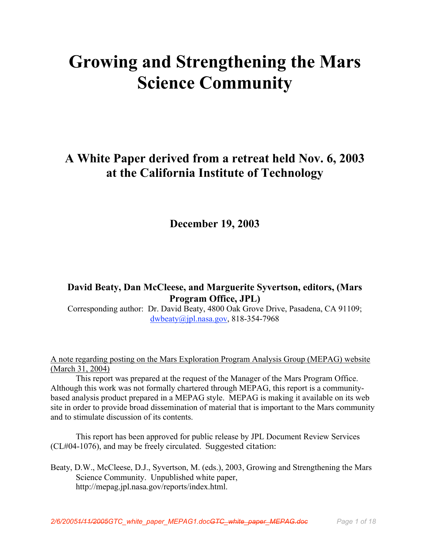# Growing and Strengthening the Mars Science Community

# A White Paper derived from a retreat held Nov. 6, 2003 at the California Institute of Technology

December 19, 2003

# David Beaty, Dan McCleese, and Marguerite Syvertson, editors, (Mars Program Office, JPL)

Corresponding author: Dr. David Beaty, 4800 Oak Grove Drive, Pasadena, CA 91109; dwbeaty@jpl.nasa.gov, 818-354-7968

A note regarding posting on the Mars Exploration Program Analysis Group (MEPAG) website (March 31, 2004)

This report was prepared at the request of the Manager of the Mars Program Office. Although this work was not formally chartered through MEPAG, this report is a communitybased analysis product prepared in a MEPAG style. MEPAG is making it available on its web site in order to provide broad dissemination of material that is important to the Mars community and to stimulate discussion of its contents.

This report has been approved for public release by JPL Document Review Services (CL#04-1076), and may be freely circulated. Suggested citation:

Beaty, D.W., McCleese, D.J., Syvertson, M. (eds.), 2003, Growing and Strengthening the Mars Science Community. Unpublished white paper, http://mepag.jpl.nasa.gov/reports/index.html.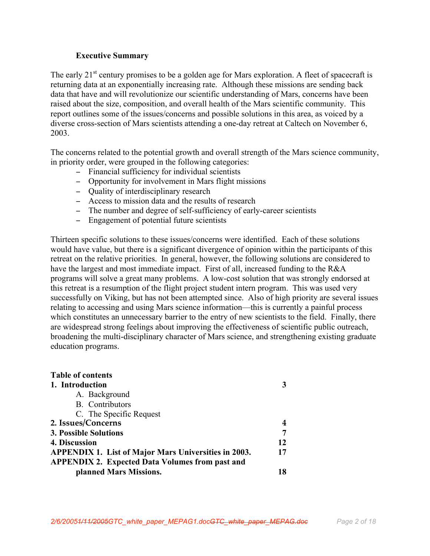#### Executive Summary

The early  $21<sup>st</sup>$  century promises to be a golden age for Mars exploration. A fleet of spacecraft is returning data at an exponentially increasing rate. Although these missions are sending back data that have and will revolutionize our scientific understanding of Mars, concerns have been raised about the size, composition, and overall health of the Mars scientific community. This report outlines some of the issues/concerns and possible solutions in this area, as voiced by a diverse cross-section of Mars scientists attending a one-day retreat at Caltech on November 6, 2003.

The concerns related to the potential growth and overall strength of the Mars science community, in priority order, were grouped in the following categories:

- − Financial sufficiency for individual scientists
- − Opportunity for involvement in Mars flight missions
- − Quality of interdisciplinary research
- − Access to mission data and the results of research
- − The number and degree of self-sufficiency of early-career scientists
- − Engagement of potential future scientists

Thirteen specific solutions to these issues/concerns were identified. Each of these solutions would have value, but there is a significant divergence of opinion within the participants of this retreat on the relative priorities. In general, however, the following solutions are considered to have the largest and most immediate impact. First of all, increased funding to the R&A programs will solve a great many problems. A low-cost solution that was strongly endorsed at this retreat is a resumption of the flight project student intern program. This was used very successfully on Viking, but has not been attempted since. Also of high priority are several issues relating to accessing and using Mars science information—this is currently a painful process which constitutes an unnecessary barrier to the entry of new scientists to the field. Finally, there are widespread strong feelings about improving the effectiveness of scientific public outreach, broadening the multi-disciplinary character of Mars science, and strengthening existing graduate education programs.

| <b>Table of contents</b>                                    |    |
|-------------------------------------------------------------|----|
| 1. Introduction                                             |    |
| A. Background                                               |    |
| B. Contributors                                             |    |
| C. The Specific Request                                     |    |
| 2. Issues/Concerns                                          |    |
| <b>3. Possible Solutions</b>                                |    |
| 4. Discussion                                               | 12 |
| <b>APPENDIX 1. List of Major Mars Universities in 2003.</b> | 17 |
| <b>APPENDIX 2. Expected Data Volumes from past and</b>      |    |
| planned Mars Missions.                                      |    |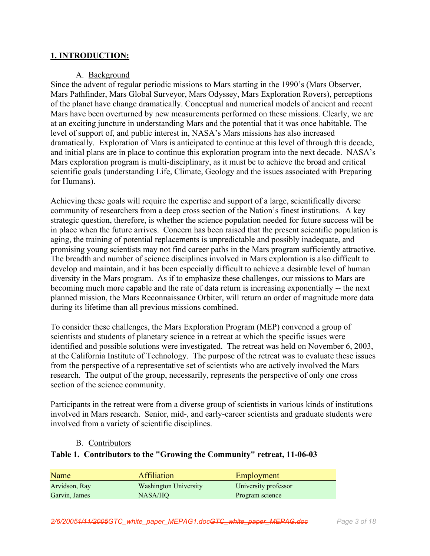#### 1. INTRODUCTION:

#### A. Background

Since the advent of regular periodic missions to Mars starting in the 1990's (Mars Observer, Mars Pathfinder, Mars Global Surveyor, Mars Odyssey, Mars Exploration Rovers), perceptions of the planet have change dramatically. Conceptual and numerical models of ancient and recent Mars have been overturned by new measurements performed on these missions. Clearly, we are at an exciting juncture in understanding Mars and the potential that it was once habitable. The level of support of, and public interest in, NASA's Mars missions has also increased dramatically. Exploration of Mars is anticipated to continue at this level of through this decade, and initial plans are in place to continue this exploration program into the next decade. NASA's Mars exploration program is multi-disciplinary, as it must be to achieve the broad and critical scientific goals (understanding Life, Climate, Geology and the issues associated with Preparing for Humans).

Achieving these goals will require the expertise and support of a large, scientifically diverse community of researchers from a deep cross section of the Nation's finest institutions. A key strategic question, therefore, is whether the science population needed for future success will be in place when the future arrives. Concern has been raised that the present scientific population is aging, the training of potential replacements is unpredictable and possibly inadequate, and promising young scientists may not find career paths in the Mars program sufficiently attractive. The breadth and number of science disciplines involved in Mars exploration is also difficult to develop and maintain, and it has been especially difficult to achieve a desirable level of human diversity in the Mars program. As if to emphasize these challenges, our missions to Mars are becoming much more capable and the rate of data return is increasing exponentially -- the next planned mission, the Mars Reconnaissance Orbiter, will return an order of magnitude more data during its lifetime than all previous missions combined.

To consider these challenges, the Mars Exploration Program (MEP) convened a group of scientists and students of planetary science in a retreat at which the specific issues were identified and possible solutions were investigated. The retreat was held on November 6, 2003, at the California Institute of Technology. The purpose of the retreat was to evaluate these issues from the perspective of a representative set of scientists who are actively involved the Mars research. The output of the group, necessarily, represents the perspective of only one cross section of the science community.

Participants in the retreat were from a diverse group of scientists in various kinds of institutions involved in Mars research. Senior, mid-, and early-career scientists and graduate students were involved from a variety of scientific disciplines.

#### B. Contributors

#### Table 1. Contributors to the "Growing the Community" retreat, 11-06-03

| Name          | <b>Affiliation</b>           | Employment           |
|---------------|------------------------------|----------------------|
| Arvidson, Ray | <b>Washington University</b> | University professor |
| Garvin, James | NASA/HO                      | Program science      |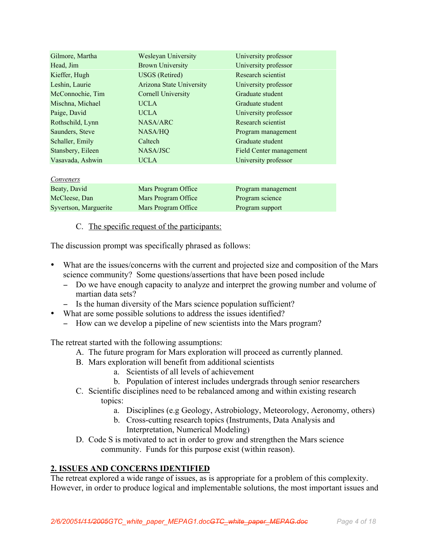| Gilmore, Martha       | <b>Wesleyan University</b>      | University professor    |
|-----------------------|---------------------------------|-------------------------|
| Head, Jim             | <b>Brown University</b>         | University professor    |
| Kieffer, Hugh         | <b>USGS</b> (Retired)           | Research scientist      |
| Leshin, Laurie        | <b>Arizona State University</b> | University professor    |
| McConnochie, Tim      | <b>Cornell University</b>       | Graduate student        |
| Mischna, Michael      | <b>UCLA</b>                     | Graduate student        |
| Paige, David          | <b>UCLA</b>                     | University professor    |
| Rothschild, Lynn      | <b>NASA/ARC</b>                 | Research scientist      |
| Saunders, Steve       | NASA/HO                         | Program management      |
| Schaller, Emily       | Caltech                         | Graduate student        |
| Stansbery, Eileen     | NASA/JSC                        | Field Center management |
| Vasavada, Ashwin      | <b>UCLA</b>                     | University professor    |
|                       |                                 |                         |
| Conveners             |                                 |                         |
| Beaty, David          | Mars Program Office             | Program management      |
| McCleese, Dan         | Mars Program Office             | Program science         |
| Syvertson, Marguerite | Mars Program Office             | Program support         |

#### C. The specific request of the participants:

The discussion prompt was specifically phrased as follows:

- What are the issues/concerns with the current and projected size and composition of the Mars science community? Some questions/assertions that have been posed include
	- − Do we have enough capacity to analyze and interpret the growing number and volume of martian data sets?
	- − Is the human diversity of the Mars science population sufficient?
- What are some possible solutions to address the issues identified?
	- − How can we develop a pipeline of new scientists into the Mars program?

The retreat started with the following assumptions:

- A. The future program for Mars exploration will proceed as currently planned.
- B. Mars exploration will benefit from additional scientists
	- a. Scientists of all levels of achievement
	- b. Population of interest includes undergrads through senior researchers
- C. Scientific disciplines need to be rebalanced among and within existing research topics:
	- a. Disciplines (e.g Geology, Astrobiology, Meteorology, Aeronomy, others)
	- b. Cross-cutting research topics (Instruments, Data Analysis and Interpretation, Numerical Modeling)
- D. Code S is motivated to act in order to grow and strengthen the Mars science community. Funds for this purpose exist (within reason).

# 2. ISSUES AND CONCERNS IDENTIFIED

The retreat explored a wide range of issues, as is appropriate for a problem of this complexity. However, in order to produce logical and implementable solutions, the most important issues and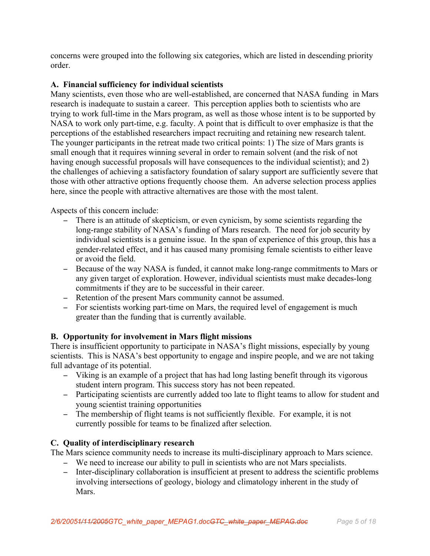concerns were grouped into the following six categories, which are listed in descending priority order.

# A. Financial sufficiency for individual scientists

Many scientists, even those who are well-established, are concerned that NASA funding in Mars research is inadequate to sustain a career. This perception applies both to scientists who are trying to work full-time in the Mars program, as well as those whose intent is to be supported by NASA to work only part-time, e.g. faculty. A point that is difficult to over emphasize is that the perceptions of the established researchers impact recruiting and retaining new research talent. The younger participants in the retreat made two critical points: 1) The size of Mars grants is small enough that it requires winning several in order to remain solvent (and the risk of not having enough successful proposals will have consequences to the individual scientist); and 2) the challenges of achieving a satisfactory foundation of salary support are sufficiently severe that those with other attractive options frequently choose them. An adverse selection process applies here, since the people with attractive alternatives are those with the most talent.

Aspects of this concern include:

- − There is an attitude of skepticism, or even cynicism, by some scientists regarding the long-range stability of NASA's funding of Mars research. The need for job security by individual scientists is a genuine issue. In the span of experience of this group, this has a gender-related effect, and it has caused many promising female scientists to either leave or avoid the field.
- − Because of the way NASA is funded, it cannot make long-range commitments to Mars or any given target of exploration. However, individual scientists must make decades-long commitments if they are to be successful in their career.
- − Retention of the present Mars community cannot be assumed.
- − For scientists working part-time on Mars, the required level of engagement is much greater than the funding that is currently available.

# B. Opportunity for involvement in Mars flight missions

There is insufficient opportunity to participate in NASA's flight missions, especially by young scientists. This is NASA's best opportunity to engage and inspire people, and we are not taking full advantage of its potential.

- − Viking is an example of a project that has had long lasting benefit through its vigorous student intern program. This success story has not been repeated.
- − Participating scientists are currently added too late to flight teams to allow for student and young scientist training opportunities
- − The membership of flight teams is not sufficiently flexible. For example, it is not currently possible for teams to be finalized after selection.

# C. Quality of interdisciplinary research

The Mars science community needs to increase its multi-disciplinary approach to Mars science.

- − We need to increase our ability to pull in scientists who are not Mars specialists.
- − Inter-disciplinary collaboration is insufficient at present to address the scientific problems involving intersections of geology, biology and climatology inherent in the study of Mars.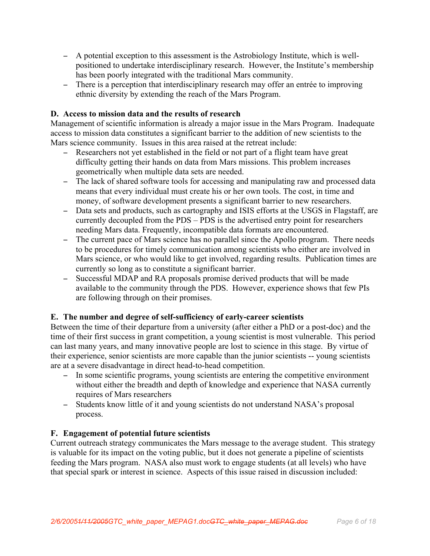- − A potential exception to this assessment is the Astrobiology Institute, which is wellpositioned to undertake interdisciplinary research. However, the Institute's membership has been poorly integrated with the traditional Mars community.
- − There is a perception that interdisciplinary research may offer an entrée to improving ethnic diversity by extending the reach of the Mars Program.

#### D. Access to mission data and the results of research

Management of scientific information is already a major issue in the Mars Program. Inadequate access to mission data constitutes a significant barrier to the addition of new scientists to the Mars science community. Issues in this area raised at the retreat include:

- − Researchers not yet established in the field or not part of a flight team have great difficulty getting their hands on data from Mars missions. This problem increases geometrically when multiple data sets are needed.
- − The lack of shared software tools for accessing and manipulating raw and processed data means that every individual must create his or her own tools. The cost, in time and money, of software development presents a significant barrier to new researchers.
- − Data sets and products, such as cartography and ISIS efforts at the USGS in Flagstaff, are currently decoupled from the PDS – PDS is the advertised entry point for researchers needing Mars data. Frequently, incompatible data formats are encountered.
- − The current pace of Mars science has no parallel since the Apollo program. There needs to be procedures for timely communication among scientists who either are involved in Mars science, or who would like to get involved, regarding results. Publication times are currently so long as to constitute a significant barrier.
- − Successful MDAP and RA proposals promise derived products that will be made available to the community through the PDS. However, experience shows that few PIs are following through on their promises.

# E. The number and degree of self-sufficiency of early-career scientists

Between the time of their departure from a university (after either a PhD or a post-doc) and the time of their first success in grant competition, a young scientist is most vulnerable. This period can last many years, and many innovative people are lost to science in this stage. By virtue of their experience, senior scientists are more capable than the junior scientists -- young scientists are at a severe disadvantage in direct head-to-head competition.

- − In some scientific programs, young scientists are entering the competitive environment without either the breadth and depth of knowledge and experience that NASA currently requires of Mars researchers
- − Students know little of it and young scientists do not understand NASA's proposal process.

#### F. Engagement of potential future scientists

Current outreach strategy communicates the Mars message to the average student. This strategy is valuable for its impact on the voting public, but it does not generate a pipeline of scientists feeding the Mars program. NASA also must work to engage students (at all levels) who have that special spark or interest in science. Aspects of this issue raised in discussion included: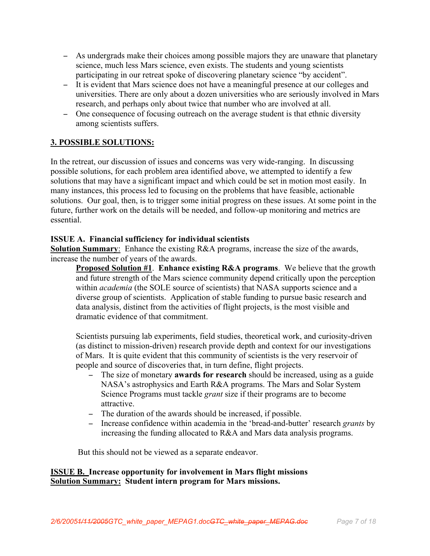- − As undergrads make their choices among possible majors they are unaware that planetary science, much less Mars science, even exists. The students and young scientists participating in our retreat spoke of discovering planetary science "by accident".
- − It is evident that Mars science does not have a meaningful presence at our colleges and universities. There are only about a dozen universities who are seriously involved in Mars research, and perhaps only about twice that number who are involved at all.
- − One consequence of focusing outreach on the average student is that ethnic diversity among scientists suffers.

# 3. POSSIBLE SOLUTIONS:

In the retreat, our discussion of issues and concerns was very wide-ranging. In discussing possible solutions, for each problem area identified above, we attempted to identify a few solutions that may have a significant impact and which could be set in motion most easily. In many instances, this process led to focusing on the problems that have feasible, actionable solutions. Our goal, then, is to trigger some initial progress on these issues. At some point in the future, further work on the details will be needed, and follow-up monitoring and metrics are essential.

# ISSUE A. Financial sufficiency for individual scientists

Solution Summary: Enhance the existing R&A programs, increase the size of the awards, increase the number of years of the awards.

Proposed Solution #1. Enhance existing R&A programs. We believe that the growth and future strength of the Mars science community depend critically upon the perception within *academia* (the SOLE source of scientists) that NASA supports science and a diverse group of scientists. Application of stable funding to pursue basic research and data analysis, distinct from the activities of flight projects, is the most visible and dramatic evidence of that commitment.

Scientists pursuing lab experiments, field studies, theoretical work, and curiosity-driven (as distinct to mission-driven) research provide depth and context for our investigations of Mars. It is quite evident that this community of scientists is the very reservoir of people and source of discoveries that, in turn define, flight projects.

- − The size of monetary **awards for research** should be increased, using as a guide NASA's astrophysics and Earth R&A programs. The Mars and Solar System Science Programs must tackle *grant* size if their programs are to become attractive.
- − The duration of the awards should be increased, if possible.
- − Increase confidence within academia in the 'bread-and-butter' research *grants* by increasing the funding allocated to R&A and Mars data analysis programs.

But this should not be viewed as a separate endeavor.

# ISSUE B. Increase opportunity for involvement in Mars flight missions Solution Summary: Student intern program for Mars missions.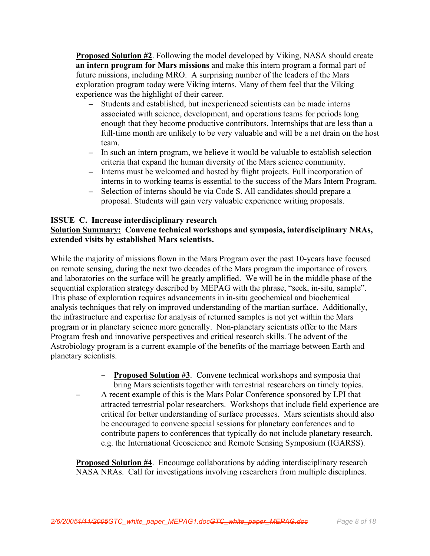Proposed Solution #2. Following the model developed by Viking, NASA should create an intern program for Mars missions and make this intern program a formal part of future missions, including MRO. A surprising number of the leaders of the Mars exploration program today were Viking interns. Many of them feel that the Viking experience was the highlight of their career.

- Students and established, but inexperienced scientists can be made interns associated with science, development, and operations teams for periods long enough that they become productive contributors. Internships that are less than a full-time month are unlikely to be very valuable and will be a net drain on the host team.
- − In such an intern program, we believe it would be valuable to establish selection criteria that expand the human diversity of the Mars science community.
- − Interns must be welcomed and hosted by flight projects. Full incorporation of interns in to working teams is essential to the success of the Mars Intern Program.
- − Selection of interns should be via Code S. All candidates should prepare a proposal. Students will gain very valuable experience writing proposals.

#### ISSUE C. Increase interdisciplinary research

# Solution Summary: Convene technical workshops and symposia, interdisciplinary NRAs, extended visits by established Mars scientists.

While the majority of missions flown in the Mars Program over the past 10-years have focused on remote sensing, during the next two decades of the Mars program the importance of rovers and laboratories on the surface will be greatly amplified. We will be in the middle phase of the sequential exploration strategy described by MEPAG with the phrase, "seek, in-situ, sample". This phase of exploration requires advancements in in-situ geochemical and biochemical analysis techniques that rely on improved understanding of the martian surface. Additionally, the infrastructure and expertise for analysis of returned samples is not yet within the Mars program or in planetary science more generally. Non-planetary scientists offer to the Mars Program fresh and innovative perspectives and critical research skills. The advent of the Astrobiology program is a current example of the benefits of the marriage between Earth and planetary scientists.

- − Proposed Solution #3. Convene technical workshops and symposia that bring Mars scientists together with terrestrial researchers on timely topics.
- A recent example of this is the Mars Polar Conference sponsored by LPI that attracted terrestrial polar researchers. Workshops that include field experience are critical for better understanding of surface processes. Mars scientists should also be encouraged to convene special sessions for planetary conferences and to contribute papers to conferences that typically do not include planetary research, e.g. the International Geoscience and Remote Sensing Symposium (IGARSS).

**Proposed Solution #4.** Encourage collaborations by adding interdisciplinary research NASA NRAs. Call for investigations involving researchers from multiple disciplines.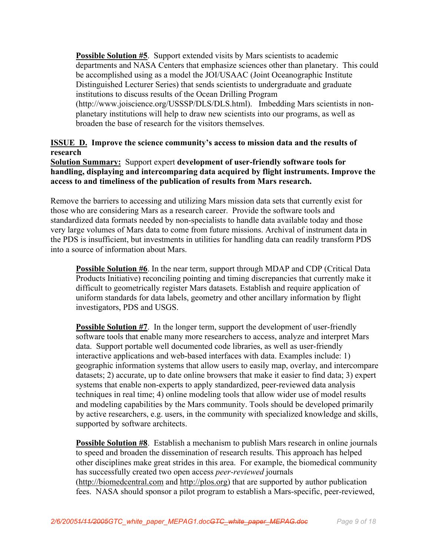**Possible Solution #5.** Support extended visits by Mars scientists to academic departments and NASA Centers that emphasize sciences other than planetary. This could be accomplished using as a model the JOI/USAAC (Joint Oceanographic Institute Distinguished Lecturer Series) that sends scientists to undergraduate and graduate institutions to discuss results of the Ocean Drilling Program (http://www.joiscience.org/USSSP/DLS/DLS.html). Imbedding Mars scientists in nonplanetary institutions will help to draw new scientists into our programs, as well as broaden the base of research for the visitors themselves.

# ISSUE D. Improve the science community's access to mission data and the results of research

Solution Summary: Support expert development of user-friendly software tools for handling, displaying and intercomparing data acquired by flight instruments. Improve the access to and timeliness of the publication of results from Mars research.

Remove the barriers to accessing and utilizing Mars mission data sets that currently exist for those who are considering Mars as a research career. Provide the software tools and standardized data formats needed by non-specialists to handle data available today and those very large volumes of Mars data to come from future missions. Archival of instrument data in the PDS is insufficient, but investments in utilities for handling data can readily transform PDS into a source of information about Mars.

Possible Solution #6. In the near term, support through MDAP and CDP (Critical Data Products Initiative) reconciling pointing and timing discrepancies that currently make it difficult to geometrically register Mars datasets. Establish and require application of uniform standards for data labels, geometry and other ancillary information by flight investigators, PDS and USGS.

**Possible Solution #7.** In the longer term, support the development of user-friendly software tools that enable many more researchers to access, analyze and interpret Mars data. Support portable well documented code libraries, as well as user-friendly interactive applications and web-based interfaces with data. Examples include: 1) geographic information systems that allow users to easily map, overlay, and intercompare datasets; 2) accurate, up to date online browsers that make it easier to find data; 3) expert systems that enable non-experts to apply standardized, peer-reviewed data analysis techniques in real time; 4) online modeling tools that allow wider use of model results and modeling capabilities by the Mars community. Tools should be developed primarily by active researchers, e.g. users, in the community with specialized knowledge and skills, supported by software architects.

**Possible Solution #8**. Establish a mechanism to publish Mars research in online journals to speed and broaden the dissemination of research results. This approach has helped other disciplines make great strides in this area. For example, the biomedical community has successfully created two open access *peer-reviewed* journals (http://biomedcentral.com and http://plos.org) that are supported by author publication fees. NASA should sponsor a pilot program to establish a Mars-specific, peer-reviewed,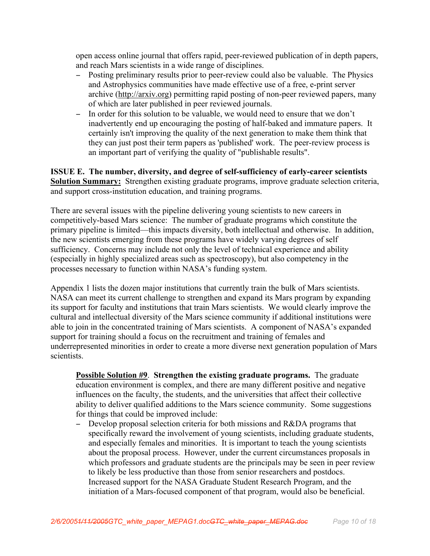open access online journal that offers rapid, peer-reviewed publication of in depth papers, and reach Mars scientists in a wide range of disciplines.

- − Posting preliminary results prior to peer-review could also be valuable. The Physics and Astrophysics communities have made effective use of a free, e-print server archive (http://arxiv.org) permitting rapid posting of non-peer reviewed papers, many of which are later published in peer reviewed journals.
- − In order for this solution to be valuable, we would need to ensure that we don't inadvertently end up encouraging the posting of half-baked and immature papers. It certainly isn't improving the quality of the next generation to make them think that they can just post their term papers as 'published' work. The peer-review process is an important part of verifying the quality of "publishable results".

## ISSUE E. The number, diversity, and degree of self-sufficiency of early-career scientists **Solution Summary:** Strengthen existing graduate programs, improve graduate selection criteria, and support cross-institution education, and training programs.

There are several issues with the pipeline delivering young scientists to new careers in competitively-based Mars science: The number of graduate programs which constitute the primary pipeline is limited—this impacts diversity, both intellectual and otherwise. In addition, the new scientists emerging from these programs have widely varying degrees of self sufficiency. Concerns may include not only the level of technical experience and ability (especially in highly specialized areas such as spectroscopy), but also competency in the processes necessary to function within NASA's funding system.

Appendix 1 lists the dozen major institutions that currently train the bulk of Mars scientists. NASA can meet its current challenge to strengthen and expand its Mars program by expanding its support for faculty and institutions that train Mars scientists. We would clearly improve the cultural and intellectual diversity of the Mars science community if additional institutions were able to join in the concentrated training of Mars scientists. A component of NASA's expanded support for training should a focus on the recruitment and training of females and underrepresented minorities in order to create a more diverse next generation population of Mars scientists.

Possible Solution #9. Strengthen the existing graduate programs. The graduate education environment is complex, and there are many different positive and negative influences on the faculty, the students, and the universities that affect their collective ability to deliver qualified additions to the Mars science community. Some suggestions for things that could be improved include:

− Develop proposal selection criteria for both missions and R&DA programs that specifically reward the involvement of young scientists, including graduate students, and especially females and minorities. It is important to teach the young scientists about the proposal process. However, under the current circumstances proposals in which professors and graduate students are the principals may be seen in peer review to likely be less productive than those from senior researchers and postdocs. Increased support for the NASA Graduate Student Research Program, and the initiation of a Mars-focused component of that program, would also be beneficial.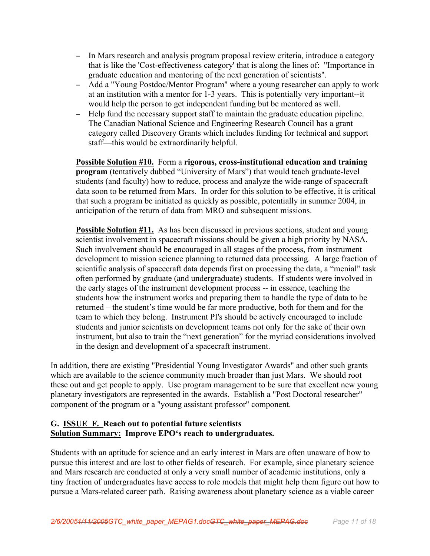- − In Mars research and analysis program proposal review criteria, introduce a category that is like the 'Cost-effectiveness category' that is along the lines of: "Importance in graduate education and mentoring of the next generation of scientists".
- − Add a "Young Postdoc/Mentor Program" where a young researcher can apply to work at an institution with a mentor for 1-3 years. This is potentially very important--it would help the person to get independent funding but be mentored as well.
- − Help fund the necessary support staff to maintain the graduate education pipeline. The Canadian National Science and Engineering Research Council has a grant category called Discovery Grants which includes funding for technical and support staff—this would be extraordinarily helpful.

**Possible Solution #10.** Form a rigorous, cross-institutional education and training program (tentatively dubbed "University of Mars") that would teach graduate-level students (and faculty) how to reduce, process and analyze the wide-range of spacecraft data soon to be returned from Mars. In order for this solution to be effective, it is critical that such a program be initiated as quickly as possible, potentially in summer 2004, in anticipation of the return of data from MRO and subsequent missions.

**Possible Solution #11.** As has been discussed in previous sections, student and young scientist involvement in spacecraft missions should be given a high priority by NASA. Such involvement should be encouraged in all stages of the process, from instrument development to mission science planning to returned data processing. A large fraction of scientific analysis of spacecraft data depends first on processing the data, a "menial" task often performed by graduate (and undergraduate) students. If students were involved in the early stages of the instrument development process -- in essence, teaching the students how the instrument works and preparing them to handle the type of data to be returned – the student's time would be far more productive, both for them and for the team to which they belong. Instrument PI's should be actively encouraged to include students and junior scientists on development teams not only for the sake of their own instrument, but also to train the "next generation" for the myriad considerations involved in the design and development of a spacecraft instrument.

In addition, there are existing "Presidential Young Investigator Awards" and other such grants which are available to the science community much broader than just Mars. We should root these out and get people to apply. Use program management to be sure that excellent new young planetary investigators are represented in the awards. Establish a "Post Doctoral researcher" component of the program or a "young assistant professor" component.

# G. ISSUE F. Reach out to potential future scientists Solution Summary: Improve EPO's reach to undergraduates.

Students with an aptitude for science and an early interest in Mars are often unaware of how to pursue this interest and are lost to other fields of research. For example, since planetary science and Mars research are conducted at only a very small number of academic institutions, only a tiny fraction of undergraduates have access to role models that might help them figure out how to pursue a Mars-related career path. Raising awareness about planetary science as a viable career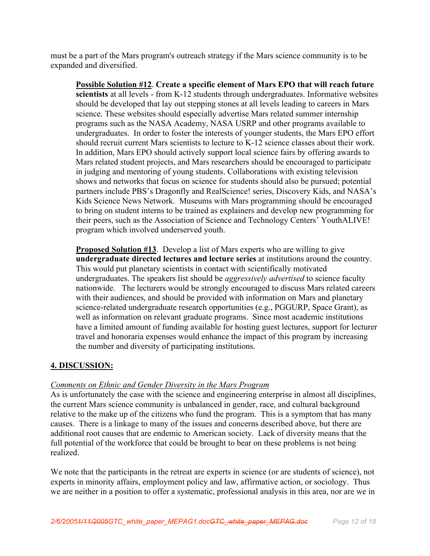must be a part of the Mars program's outreach strategy if the Mars science community is to be expanded and diversified.

Possible Solution #12. Create a specific element of Mars EPO that will reach future scientists at all levels - from K-12 students through undergraduates. Informative websites should be developed that lay out stepping stones at all levels leading to careers in Mars science. These websites should especially advertise Mars related summer internship programs such as the NASA Academy, NASA USRP and other programs available to undergraduates. In order to foster the interests of younger students, the Mars EPO effort should recruit current Mars scientists to lecture to K-12 science classes about their work. In addition, Mars EPO should actively support local science fairs by offering awards to Mars related student projects, and Mars researchers should be encouraged to participate in judging and mentoring of young students. Collaborations with existing television shows and networks that focus on science for students should also be pursued; potential partners include PBS's Dragonfly and RealScience! series, Discovery Kids, and NASA's Kids Science News Network. Museums with Mars programming should be encouraged to bring on student interns to be trained as explainers and develop new programming for their peers, such as the Association of Science and Technology Centers' YouthALIVE! program which involved underserved youth.

Proposed Solution #13. Develop a list of Mars experts who are willing to give undergraduate directed lectures and lecture series at institutions around the country. This would put planetary scientists in contact with scientifically motivated undergraduates. The speakers list should be *aggressively advertised* to science faculty nationwide. The lecturers would be strongly encouraged to discuss Mars related careers with their audiences, and should be provided with information on Mars and planetary science-related undergraduate research opportunities (e.g., PGGURP, Space Grant), as well as information on relevant graduate programs. Since most academic institutions have a limited amount of funding available for hosting guest lectures, support for lecturer travel and honoraria expenses would enhance the impact of this program by increasing the number and diversity of participating institutions.

# 4. DISCUSSION:

# *Comments on Ethnic and Gender Diversity in the Mars Program*

As is unfortunately the case with the science and engineering enterprise in almost all disciplines, the current Mars science community is unbalanced in gender, race, and cultural background relative to the make up of the citizens who fund the program. This is a symptom that has many causes. There is a linkage to many of the issues and concerns described above, but there are additional root causes that are endemic to American society. Lack of diversity means that the full potential of the workforce that could be brought to bear on these problems is not being realized.

We note that the participants in the retreat are experts in science (or are students of science), not experts in minority affairs, employment policy and law, affirmative action, or sociology. Thus we are neither in a position to offer a systematic, professional analysis in this area, nor are we in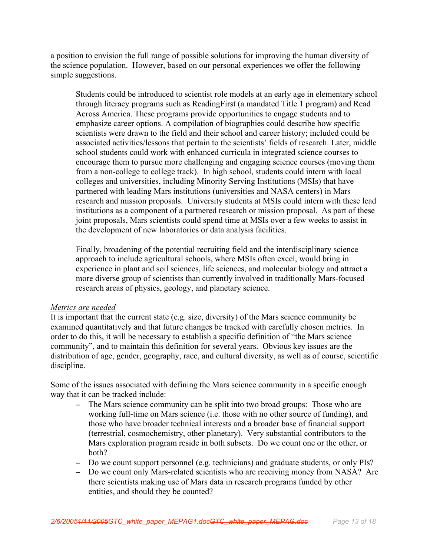a position to envision the full range of possible solutions for improving the human diversity of the science population. However, based on our personal experiences we offer the following simple suggestions.

Students could be introduced to scientist role models at an early age in elementary school through literacy programs such as ReadingFirst (a mandated Title 1 program) and Read Across America. These programs provide opportunities to engage students and to emphasize career options. A compilation of biographies could describe how specific scientists were drawn to the field and their school and career history; included could be associated activities/lessons that pertain to the scientists' fields of research. Later, middle school students could work with enhanced curricula in integrated science courses to encourage them to pursue more challenging and engaging science courses (moving them from a non-college to college track). In high school, students could intern with local colleges and universities, including Minority Serving Institutions (MSIs) that have partnered with leading Mars institutions (universities and NASA centers) in Mars research and mission proposals. University students at MSIs could intern with these lead institutions as a component of a partnered research or mission proposal. As part of these joint proposals, Mars scientists could spend time at MSIs over a few weeks to assist in the development of new laboratories or data analysis facilities.

Finally, broadening of the potential recruiting field and the interdisciplinary science approach to include agricultural schools, where MSIs often excel, would bring in experience in plant and soil sciences, life sciences, and molecular biology and attract a more diverse group of scientists than currently involved in traditionally Mars-focused research areas of physics, geology, and planetary science.

#### *Metrics are needed*

It is important that the current state (e.g. size, diversity) of the Mars science community be examined quantitatively and that future changes be tracked with carefully chosen metrics. In order to do this, it will be necessary to establish a specific definition of "the Mars science community", and to maintain this definition for several years. Obvious key issues are the distribution of age, gender, geography, race, and cultural diversity, as well as of course, scientific discipline.

Some of the issues associated with defining the Mars science community in a specific enough way that it can be tracked include:

- − The Mars science community can be split into two broad groups: Those who are working full-time on Mars science (i.e. those with no other source of funding), and those who have broader technical interests and a broader base of financial support (terrestrial, cosmochemistry, other planetary). Very substantial contributors to the Mars exploration program reside in both subsets. Do we count one or the other, or both?
- − Do we count support personnel (e.g. technicians) and graduate students, or only PIs?
- − Do we count only Mars-related scientists who are receiving money from NASA? Are there scientists making use of Mars data in research programs funded by other entities, and should they be counted?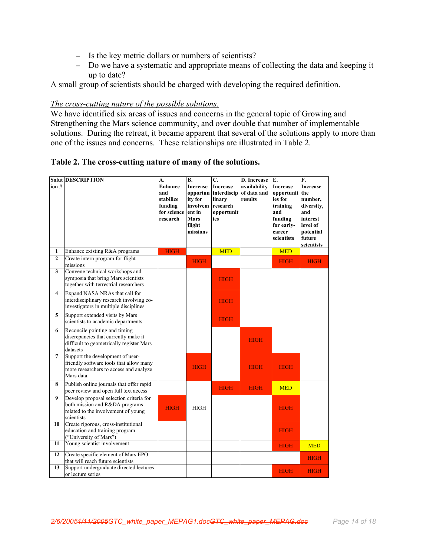- − Is the key metric dollars or numbers of scientists?
- − Do we have a systematic and appropriate means of collecting the data and keeping it up to date?

A small group of scientists should be charged with developing the required definition.

#### *The cross-cutting nature of the possible solutions.*

We have identified six areas of issues and concerns in the general topic of Growing and Strengthening the Mars science community, and over double that number of implementable solutions. During the retreat, it became apparent that several of the solutions apply to more than one of the issues and concerns. These relationships are illustrated in Table 2.

Table 2. The cross-cutting nature of many of the solutions.

| ion #            | <b>Solut DESCRIPTION</b>                                                                                                            | A.<br>Enhance<br>and<br>stabilize<br>funding<br>for science<br>research | <b>B.</b><br><b>Increase</b><br>opportun<br>ity for<br>involvem<br>ent in<br><b>Mars</b><br>flight<br>missions | C.<br><b>Increase</b><br>interdiscip<br>linary<br>research<br>opportunit<br>ies | D. Increase<br>availability<br>of data and<br>results | E.<br><b>Increase</b><br>opportunit<br>ies for<br>training<br>and<br>funding<br>for early-<br>career<br>scientists | F.<br><b>Increase</b><br>the<br>number,<br>diversity,<br>and<br>interest<br>level of<br>potential<br>future<br>scientists |
|------------------|-------------------------------------------------------------------------------------------------------------------------------------|-------------------------------------------------------------------------|----------------------------------------------------------------------------------------------------------------|---------------------------------------------------------------------------------|-------------------------------------------------------|--------------------------------------------------------------------------------------------------------------------|---------------------------------------------------------------------------------------------------------------------------|
| 1                | Enhance existing R&A programs                                                                                                       | <b>HIGH</b>                                                             |                                                                                                                | <b>MED</b>                                                                      |                                                       | <b>MED</b>                                                                                                         |                                                                                                                           |
| $\overline{2}$   | Create intern program for flight<br>missions                                                                                        |                                                                         | <b>HIGH</b>                                                                                                    |                                                                                 |                                                       | <b>HIGH</b>                                                                                                        | <b>HIGH</b>                                                                                                               |
| 3                | Convene technical workshops and<br>symposia that bring Mars scientists<br>together with terrestrial researchers                     |                                                                         |                                                                                                                | <b>HIGH</b>                                                                     |                                                       |                                                                                                                    |                                                                                                                           |
| 4                | Expand NASA NRAs that call for<br>interdisciplinary research involving co-<br>investigators in multiple disciplines                 |                                                                         |                                                                                                                | <b>HIGH</b>                                                                     |                                                       |                                                                                                                    |                                                                                                                           |
| 5                | Support extended visits by Mars<br>scientists to academic departments                                                               |                                                                         |                                                                                                                | <b>HIGH</b>                                                                     |                                                       |                                                                                                                    |                                                                                                                           |
| 6                | Reconcile pointing and timing<br>discrepancies that currently make it<br>difficult to geometrically register Mars<br>datasets       |                                                                         |                                                                                                                |                                                                                 | <b>HIGH</b>                                           |                                                                                                                    |                                                                                                                           |
| $7\phantom{.0}$  | Support the development of user-<br>friendly software tools that allow many<br>more researchers to access and analyze<br>Mars data. |                                                                         | <b>HIGH</b>                                                                                                    |                                                                                 | <b>HIGH</b>                                           | <b>HIGH</b>                                                                                                        |                                                                                                                           |
| 8                | Publish online journals that offer rapid<br>peer review and open full text access                                                   |                                                                         |                                                                                                                | <b>HIGH</b>                                                                     | <b>HIGH</b>                                           | <b>MED</b>                                                                                                         |                                                                                                                           |
| $\boldsymbol{9}$ | Develop proposal selection criteria for<br>both mission and R&DA programs<br>related to the involvement of young<br>scientists      | <b>HIGH</b>                                                             | <b>HIGH</b>                                                                                                    |                                                                                 |                                                       | <b>HIGH</b>                                                                                                        |                                                                                                                           |
| 10               | Create rigorous, cross-institutional<br>education and training program<br>("University of Mars")                                    |                                                                         |                                                                                                                |                                                                                 |                                                       | <b>HIGH</b>                                                                                                        |                                                                                                                           |
| 11               | Young scientist involvement                                                                                                         |                                                                         |                                                                                                                |                                                                                 |                                                       | <b>HIGH</b>                                                                                                        | <b>MED</b>                                                                                                                |
| 12               | Create specific element of Mars EPO<br>that will reach future scientists                                                            |                                                                         |                                                                                                                |                                                                                 |                                                       |                                                                                                                    | <b>HIGH</b>                                                                                                               |
| 13               | Support undergraduate directed lectures<br>or lecture series                                                                        |                                                                         |                                                                                                                |                                                                                 |                                                       | <b>HIGH</b>                                                                                                        | <b>HIGH</b>                                                                                                               |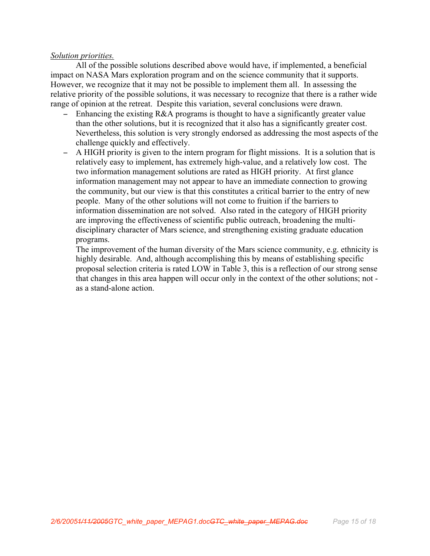#### *Solution priorities.*

All of the possible solutions described above would have, if implemented, a beneficial impact on NASA Mars exploration program and on the science community that it supports. However, we recognize that it may not be possible to implement them all. In assessing the relative priority of the possible solutions, it was necessary to recognize that there is a rather wide range of opinion at the retreat. Despite this variation, several conclusions were drawn.

- − Enhancing the existing R&A programs is thought to have a significantly greater value than the other solutions, but it is recognized that it also has a significantly greater cost. Nevertheless, this solution is very strongly endorsed as addressing the most aspects of the challenge quickly and effectively.
- − A HIGH priority is given to the intern program for flight missions. It is a solution that is relatively easy to implement, has extremely high-value, and a relatively low cost. The two information management solutions are rated as HIGH priority. At first glance information management may not appear to have an immediate connection to growing the community, but our view is that this constitutes a critical barrier to the entry of new people. Many of the other solutions will not come to fruition if the barriers to information dissemination are not solved. Also rated in the category of HIGH priority are improving the effectiveness of scientific public outreach, broadening the multidisciplinary character of Mars science, and strengthening existing graduate education programs.

The improvement of the human diversity of the Mars science community, e.g. ethnicity is highly desirable. And, although accomplishing this by means of establishing specific proposal selection criteria is rated LOW in Table 3, this is a reflection of our strong sense that changes in this area happen will occur only in the context of the other solutions; not as a stand-alone action.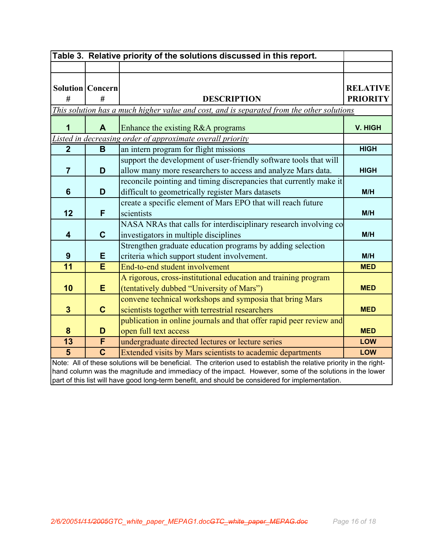| Table 3. Relative priority of the solutions discussed in this report.                                                |                                                                                                                                                                                                            |                                                                                           |                 |  |
|----------------------------------------------------------------------------------------------------------------------|------------------------------------------------------------------------------------------------------------------------------------------------------------------------------------------------------------|-------------------------------------------------------------------------------------------|-----------------|--|
|                                                                                                                      |                                                                                                                                                                                                            |                                                                                           |                 |  |
|                                                                                                                      |                                                                                                                                                                                                            |                                                                                           |                 |  |
|                                                                                                                      | <b>Solution   Concern</b>                                                                                                                                                                                  |                                                                                           | <b>RELATIVE</b> |  |
| #                                                                                                                    | #                                                                                                                                                                                                          | <b>DESCRIPTION</b>                                                                        | <b>PRIORITY</b> |  |
|                                                                                                                      |                                                                                                                                                                                                            | This solution has a much higher value and cost, and is separated from the other solutions |                 |  |
| 1                                                                                                                    | A                                                                                                                                                                                                          | Enhance the existing R&A programs                                                         | V. HIGH         |  |
|                                                                                                                      |                                                                                                                                                                                                            | Listed in decreasing order of approximate overall priority                                |                 |  |
| $\overline{2}$                                                                                                       | B                                                                                                                                                                                                          | an intern program for flight missions                                                     | <b>HIGH</b>     |  |
|                                                                                                                      |                                                                                                                                                                                                            | support the development of user-friendly software tools that will                         |                 |  |
| $\overline{7}$                                                                                                       | D                                                                                                                                                                                                          | allow many more researchers to access and analyze Mars data.                              | <b>HIGH</b>     |  |
|                                                                                                                      |                                                                                                                                                                                                            | reconcile pointing and timing discrepancies that currently make it                        |                 |  |
| 6                                                                                                                    | D                                                                                                                                                                                                          | difficult to geometrically register Mars datasets                                         | M/H             |  |
|                                                                                                                      |                                                                                                                                                                                                            | create a specific element of Mars EPO that will reach future                              |                 |  |
| 12                                                                                                                   | F                                                                                                                                                                                                          | scientists                                                                                | M/H             |  |
|                                                                                                                      |                                                                                                                                                                                                            | NASA NRAs that calls for interdisciplinary research involving co                          |                 |  |
| $\overline{\mathbf{4}}$                                                                                              | $\mathbf C$                                                                                                                                                                                                | investigators in multiple disciplines                                                     | M/H             |  |
|                                                                                                                      |                                                                                                                                                                                                            | Strengthen graduate education programs by adding selection                                |                 |  |
| 9                                                                                                                    | E                                                                                                                                                                                                          | criteria which support student involvement.                                               | M/H             |  |
| 11                                                                                                                   | E                                                                                                                                                                                                          | End-to-end student involvement                                                            | <b>MED</b>      |  |
|                                                                                                                      |                                                                                                                                                                                                            | A rigorous, cross-institutional education and training program                            |                 |  |
| 10                                                                                                                   | E                                                                                                                                                                                                          | (tentatively dubbed "University of Mars")                                                 | <b>MED</b>      |  |
|                                                                                                                      |                                                                                                                                                                                                            | convene technical workshops and symposia that bring Mars                                  |                 |  |
| $\mathbf{3}$                                                                                                         | $\mathbf C$                                                                                                                                                                                                | scientists together with terrestrial researchers                                          | <b>MED</b>      |  |
|                                                                                                                      |                                                                                                                                                                                                            | publication in online journals and that offer rapid peer review and                       |                 |  |
| 8                                                                                                                    | D                                                                                                                                                                                                          | open full text access                                                                     | <b>MED</b>      |  |
| 13                                                                                                                   | $\overline{\mathsf{F}}$                                                                                                                                                                                    | undergraduate directed lectures or lecture series                                         | <b>LOW</b>      |  |
| 5                                                                                                                    | $\mathbf C$                                                                                                                                                                                                | Extended visits by Mars scientists to academic departments                                | <b>LOW</b>      |  |
| Note: All of these solutions will be beneficial. The criterion used to establish the relative priority in the right- |                                                                                                                                                                                                            |                                                                                           |                 |  |
|                                                                                                                      | hand column was the magnitude and immediacy of the impact. However, some of the solutions in the lower<br>part of this list will have good long-term benefit, and should be considered for implementation. |                                                                                           |                 |  |
|                                                                                                                      |                                                                                                                                                                                                            |                                                                                           |                 |  |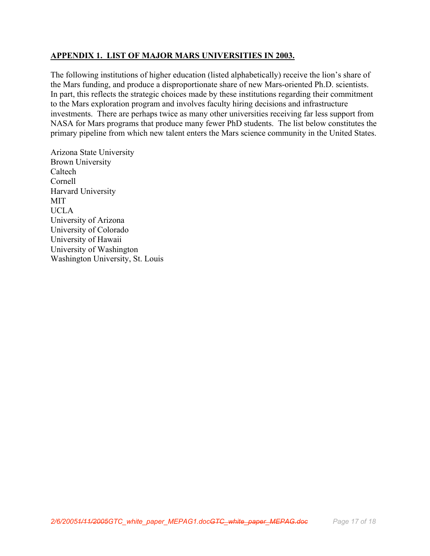# APPENDIX 1. LIST OF MAJOR MARS UNIVERSITIES IN 2003.

The following institutions of higher education (listed alphabetically) receive the lion's share of the Mars funding, and produce a disproportionate share of new Mars-oriented Ph.D. scientists. In part, this reflects the strategic choices made by these institutions regarding their commitment to the Mars exploration program and involves faculty hiring decisions and infrastructure investments. There are perhaps twice as many other universities receiving far less support from NASA for Mars programs that produce many fewer PhD students. The list below constitutes the primary pipeline from which new talent enters the Mars science community in the United States.

Arizona State University Brown University Caltech Cornell Harvard University MIT UCLA University of Arizona University of Colorado University of Hawaii University of Washington Washington University, St. Louis